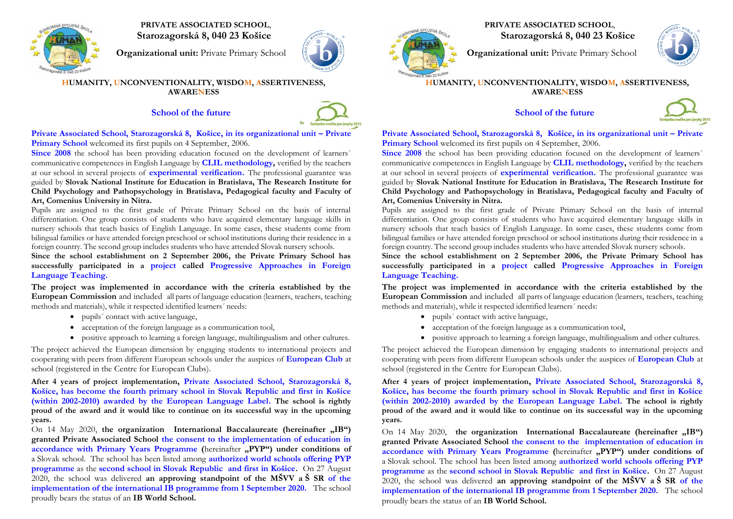

 **PRIVATE ASSOCIATED SCHOOL**, **Starozagorská 8, 040 23 Košice**

**Organizational unit:** Private Primary School



#### **HUMANITY, UNCONVENTIONALITY, WISDOM, ASSERTIVENESS, AWARENESS**

# **School of the future**



**Private Associated School, Starozagorská 8, Košice, in its organizational unit – Private Primary School** welcomed its first pupils on 4 September, 2006.

**Since** 2008 the school has been providing education focused on the development of learners' communicative competences in English Language by **CLIL methodology,** verified by the teachers at our school in several projects of **experimental verification.** The professional guarantee was guided by **Slovak National Institute for Education in Bratislava, The Research Institute for Child Psychology and Pathopsychology in Bratislava, Pedagogical faculty and Faculty of Art, Comenius University in Nitra.**

Pupils are assigned to the first grade of Private Primary School on the basis of internal differentiation. One group consists of students who have acquired elementary language skills in nursery schools that teach basics of English Language. In some cases, these students come from bilingual families or have attended foreign preschool or school institutions during their residence in a foreign country. The second group includes students who have attended Slovak nursery schools.

**Since the school establishment on 2 September 2006, the Private Primary School has successfully participated in a project called Progressive Approaches in Foreign Language Teaching.**

**The project was implemented in accordance with the criteria established by the European Commission** and included all parts of language education (learners, teachers, teaching methods and materials), while it respected identified learners´ needs:

- pupils' contact with active language,
- acceptation of the foreign language as a communication tool,
- positive approach to learning a foreign language, multilingualism and other cultures.

The project achieved the European dimension by engaging students to international projects and cooperating with peers from different European schools under the auspices of **European Club** at school (registered in the Centre for European Clubs).

**After 4 years of project implementation, Private Associated School, Starozagorská 8, Košice, has become the fourth primary school in Slovak Republic and first in Košice (within 2002-2010) awarded by the European Language Label. The school is rightly proud of the award and it would like to continue on its successful way in the upcoming years.**

On 14 May 2020, the organization International Baccalaureate (hereinafter , IB") **granted Private Associated School the consent to the implementation of education in accordance with Primary Years Programme** (hereinafter ,PYP") under conditions of a Slovak school. The school has been listed among **authorized world schools offering PYP programme** as the **second school in Slovak Republic and first in Košice.** On 27 August 2020, the school was delivered **an approving standpoint of the MŠVV a Š SR of the implementation of the international IB programme from 1 September 2020.** The school proudly bears the status of an **IB World School.**

**PRIVATE ASSOCIATED SCHOOL**,

**Starozagorská 8, 040 23 Košice**

**Organizational unit:** Private Primary School



#### **HUMANITY, UNCONVENTIONALITY, WISDOM, ASSERTIVENESS, AWARENESS**

**School of the future** 



**Private Associated School, Starozagorská 8, Košice, in its organizational unit – Private Primary School** welcomed its first pupils on 4 September, 2006.

**Since 2008** the school has been providing education focused on the development of learners' communicative competences in English Language by **CLIL methodology,** verified by the teachers at our school in several projects of **experimental verification.** The professional guarantee was guided by **Slovak National Institute for Education in Bratislava, The Research Institute for Child Psychology and Pathopsychology in Bratislava, Pedagogical faculty and Faculty of Art, Comenius University in Nitra.**

Pupils are assigned to the first grade of Private Primary School on the basis of internal differentiation. One group consists of students who have acquired elementary language skills in nursery schools that teach basics of English Language. In some cases, these students come from bilingual families or have attended foreign preschool or school institutions during their residence in a foreign country. The second group includes students who have attended Slovak nursery schools.

**Since the school establishment on 2 September 2006, the Private Primary School has successfully participated in a project called Progressive Approaches in Foreign Language Teaching.**

**The project was implemented in accordance with the criteria established by the European Commission** and included all parts of language education (learners, teachers, teaching methods and materials), while it respected identified learners´ needs:

- pupils' contact with active language,
- acceptation of the foreign language as a communication tool,
- positive approach to learning a foreign language, multilingualism and other cultures.

The project achieved the European dimension by engaging students to international projects and cooperating with peers from different European schools under the auspices of **European Club** at school (registered in the Centre for European Clubs).

**After 4 years of project implementation, Private Associated School, Starozagorská 8, Košice, has become the fourth primary school in Slovak Republic and first in Košice (within 2002-2010) awarded by the European Language Label. The school is rightly proud of the award and it would like to continue on its successful way in the upcoming years.**

On 14 May 2020, the organization International Baccalaureate (hereinafter , IB") **granted Private Associated School the consent to the implementation of education in accordance with Primary Years Programme** (hereinafter **,PYP"**) under conditions of a Slovak school. The school has been listed among **authorized world schools offering PYP programme** as the **second school in Slovak Republic and first in Košice.** On 27 August 2020, the school was delivered **an approving standpoint of the MŠVV a Š SR of the implementation of the international IB programme from 1 September 2020.** The school proudly bears the status of an **IB World School.**